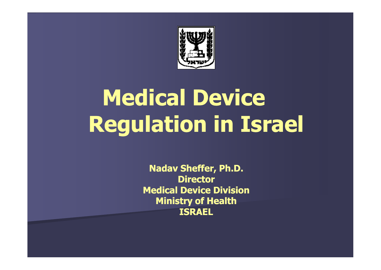

# **Medical Device Regulation in Israel**

**Nadav Sheffer, Ph.D. Director Medical Device Division Ministry of Health ISRAEL**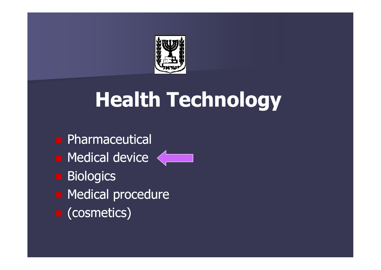

## **Health Technology**

**Pharmaceutical Medical device Biologics Medical procedure** (cosmetics)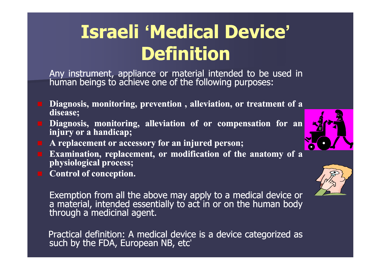### **Israeli 'Medical Device' Definition**

Any instrument, appliance or material intended to be used in human beings to achieve one of the following purposes:

- **Diagnosis, monitoring, prevention , alleviation, or treatment of a disease;**
- **Diagnosis, monitoring, alleviation of or compensation for an injury or a handicap handicap;**
- **A replacement or accessory for an injured person;**
- **Examination, replacement, or modification of the anatomy of a physiological process;**
	- **Control of conception.**

Exemption from all the above may apply to a medical device or a material, intended essentially to act in or on the human body<br>through a medicinal agent.

Practical definition: A medical device is a device categorized as such by the FDA, European NB, etc'



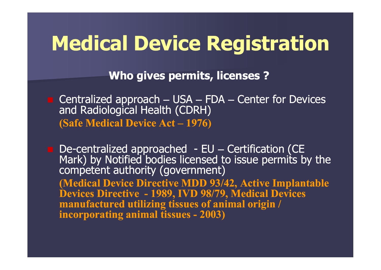#### **Medical Device Registration**

**Who gives permits, licenses ?**

■ Centralized approach – USA – FDA – Center for Devices and Radiological Health (CDRH) **(Safe Medical Device Act – 1976)**

■ De-centralized approached - EU – Certification (CE Mark) by Notified bodies licensed to issue permits by the competent authority (government) **(Medical Device Directive MDD 93/42, Active Implantable Devices Directive - 1989, IVD 98/79, Medical Devices manufactured utilizing tissues of animal origin / incorporating animal tissues - 2003)**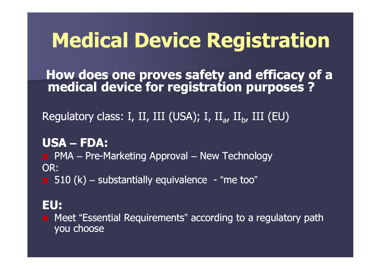### **Medical Device Registration**

**How does one proves safety and efficacy of a medical device for registration purposes ?**

Regulatory class: I, II, III (USA); I,  $II_a$ ,  $II_b$ , III (EU)

#### **USA – FDA:**

 $\blacksquare$  PMA – Pre-Marketing Approval – New Technology OR:

510 (k) – substantially equivalence - "me too"

#### **EU:**

 Meet "Essential Requirements" according to a regulatory path you choose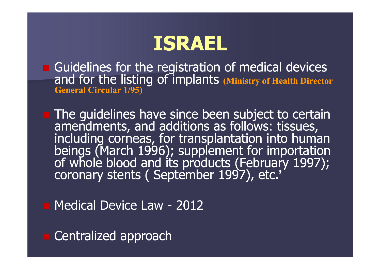

Guidelines for the registration of medical devices and for the listing of implants **(Ministry of Health Director General Circular 1/95)**

**The guidelines have since been subject to certain** amendments, and additions as follows: tissues, including corneas, for transplantation into human<br>beings (March 1996); supplement for importation beings (March 1996); supplement for importation of whole blood and its products (February 1997); coronary stents ( September 1997), etc**.'**

Medical Device Law - 2012

**E** Centralized approach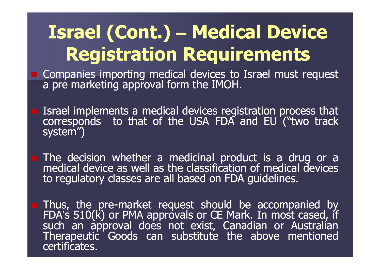### **Israel (Cont.) – Medical Device Registration Requirements**

**EXCOMPANIES importing medical devices to Israel must request** a pre marketing approval form the IMOH.

**In Israel implements a medical devices registration process that** corresponds to that of the USA FDA and EU ("two track system")

**The decision whether a medicinal product is a drug or a** medical device as well as the classification of medical devices to regulatory classes are all based on FDA guidelines.

**Thus, the pre-market request should be accompanied by** FDA's 510(k) or PMA approvals or CE Mark. In most cased, if such an approval does not exist, Canadian or Australian Therapeutic Goods can substitute the above mentioned certificates.